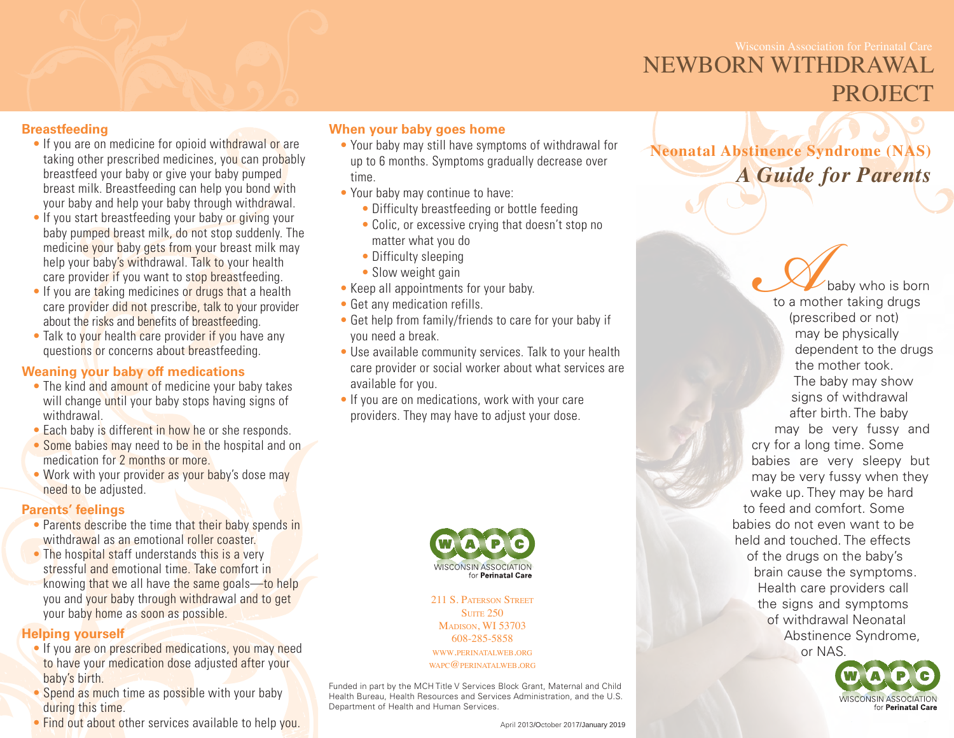## NEWBORN WITHDRAWAL PROJECT

### **Breastfeeding**

- If you are on medicine for opioid withdrawal or are taking other prescribed medicines, you can probably breastfeed your baby or give your baby pumped breast milk. Breastfeeding can help you bond with your baby and help your baby through withdrawal.
- If you start breastfeeding your baby or giving your baby pumped breast milk, do not stop suddenly. The medicine your baby gets from your breast milk may help your baby's withdrawal. Talk to your health care provider if you want to stop breastfeeding.
- If you are taking medicines or drugs that a health care provider did not prescribe, talk to your provider about the risks and benefits of breastfeeding.
- Talk to your health care provider if you have any questions or concerns about breastfeeding.

### **Weaning your baby off medications**

- The kind and amount of medicine your baby takes will change until your baby stops having signs of withdrawal.
- Each baby is different in how he or she responds.
- Some babies may need to be in the hospital and on medication for 2 months or more.
- Work with your provider as your baby's dose may need to be adjusted.

#### **Parents' feelings**

- Parents describe the time that their baby spends in withdrawal as an emotional roller coaster.
- The hospital staff understands this is a very stressful and emotional time. Take comfort in knowing that we all have the same goals—to help you and your baby through withdrawal and to get your baby home as soon as possible.

### **Helping yourself**

- If you are on prescribed medications, you may need to have your medication dose adjusted after your baby's birth.
- Spend as much time as possible with your baby during this time.
- Find out about other services available to help you.

### **When your baby goes home**

- Your baby may still have symptoms of withdrawal for up to 6 months. Symptoms gradually decrease over time.
- Your baby may continue to have:
	- Difficulty breastfeeding or bottle feeding
	- Colic, or excessive crying that doesn't stop no matter what you do
	- Difficulty sleeping
	- Slow weight gain
- Keep all appointments for your baby.
- Get any medication refills.
- Get help from family/friends to care for your baby if you need a break.
- Use available community services. Talk to your health care provider or social worker about what services are available for you.
- If you are on medications, work with your care providers. They may have to adjust your dose.



211 S. Paterson Street **SUITE 250** Madison, WI 53703 608-285-5858 www.perinatalweb.org WAPC $@$ PERINATALWEB.ORG

Funded in part by the MCH Title V Services Block Grant, Maternal and Child Health Bureau, Health Resources and Services Administration, and the U.S. Department of Health and Human Services.

April 2013/October 2017/January 2019

**Neonatal Abstinence Syndrome (NAS)**  *A Guide for Parents*

> **Ababy who is born**<br>to a mother taking drugs<br>(prescribed or not)<br>may be physically to a mother taking drugs (prescribed or not) may be physically dependent to the drugs the mother took. The baby may show signs of withdrawal after birth. The baby may be very fussy and cry for a long time. Some babies are very sleepy but may be very fussy when they wake up. They may be hard to feed and comfort. Some babies do not even want to be held and touched. The effects of the drugs on the baby's brain cause the symptoms. Health care providers call the signs and symptoms of withdrawal Neonatal Abstinence Syndrome, or NAS.